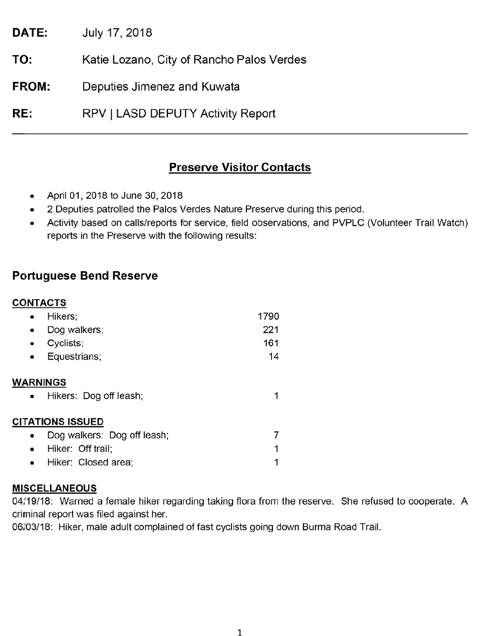July 17, 2018 DATE:

Katie Lozano, City of Rancho Palos Verdes TO:

Deputies Jimenez and Kuwata FROM:

RE: RPV | LASD DEPUTY Activity Report

# **Preserve Visitor Contacts**

- April 01, 2018 to June 30, 2018
- 2 Deputies patrolled the Palos Verdes Nature Preserve during this period.
- Activity based on calls/reports for service, field observations, and PVPLC (Volunteer Trail Watch) reports in the Preserve with the following results:

# **Portuguese Bend Reserve**

# **CONTACTS**

| Hikers;                                                | 1790 |  |  |
|--------------------------------------------------------|------|--|--|
| Dog walkers;<br>$\bullet$                              | 221  |  |  |
| Cyclists;<br>٠                                         | 161  |  |  |
| Equestrians;                                           | 14   |  |  |
| <b>WARNINGS</b><br>Hikers: Dog off leash;<br>$\bullet$ |      |  |  |
| <b>CITATIONS ISSUED</b>                                |      |  |  |
| Dog walkers: Dog off leash;                            |      |  |  |
| Hiker: Off trail;<br>$\bullet$                         | 1    |  |  |
| Hiker: Closed area;                                    |      |  |  |

## **MISCELLANEOUS**

04/19/18: Warned a female hiker regarding taking flora from the reserve. She refused to cooperate. A criminal report was filed against her.

06/03/18: Hiker, male adult complained of fast cyclists going down Burma Road Trail.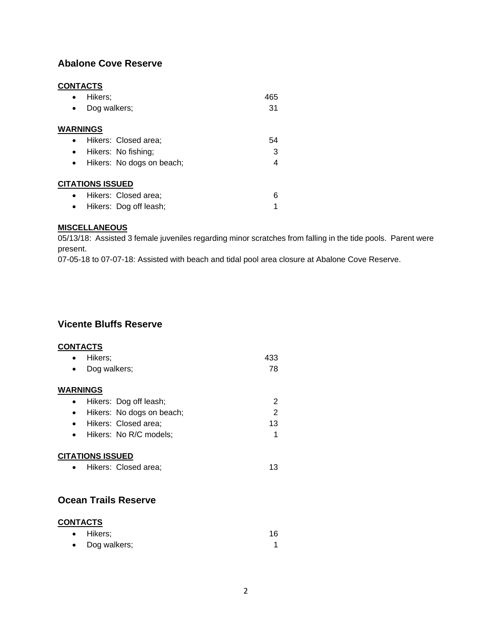# **Abalone Cove Reserve**

### **CONTACTS**

| Hikers;                                | 465 |  |  |
|----------------------------------------|-----|--|--|
| Dog walkers;<br>$\bullet$              | 31  |  |  |
| <b>WARNINGS</b>                        |     |  |  |
| Hikers: Closed area;<br>$\bullet$      | 54  |  |  |
| Hikers: No fishing;<br>$\bullet$       | 3   |  |  |
| Hikers: No dogs on beach;<br>$\bullet$ |     |  |  |
| <b>CITATIONS ISSUED</b>                |     |  |  |
| Hikers: Closed area;<br>$\bullet$      | 6   |  |  |
| Hikers: Dog off leash;                 |     |  |  |

#### **MISCELLANEOUS**

05/13/18: Assisted 3 female juveniles regarding minor scratches from falling in the tide pools. Parent were present.

07-05-18 to 07-07-18: Assisted with beach and tidal pool area closure at Abalone Cove Reserve.

# **Vicente Bluffs Reserve**

#### **CONTACTS**

|                      | Hikers;                    | 433 |  |
|----------------------|----------------------------|-----|--|
|                      | Dog walkers;               | 78  |  |
|                      | <b>WARNINGS</b>            |     |  |
|                      | Hikers: Dog off leash;     | 2   |  |
|                      | Hikers: No dogs on beach;  | 2   |  |
|                      | Hikers: Closed area;       | 13  |  |
|                      | Hikers: No R/C models;     | 1   |  |
|                      | <b>CITATIONS ISSUED</b>    |     |  |
| $\bullet$            | Hikers: Closed area;       | 13  |  |
|                      |                            |     |  |
| Ocean Trails Reserve |                            |     |  |
|                      | <b>CONTACTS</b><br>Hikers; | 16  |  |
|                      |                            |     |  |

| $\bullet$ | Dog walkers; |  |
|-----------|--------------|--|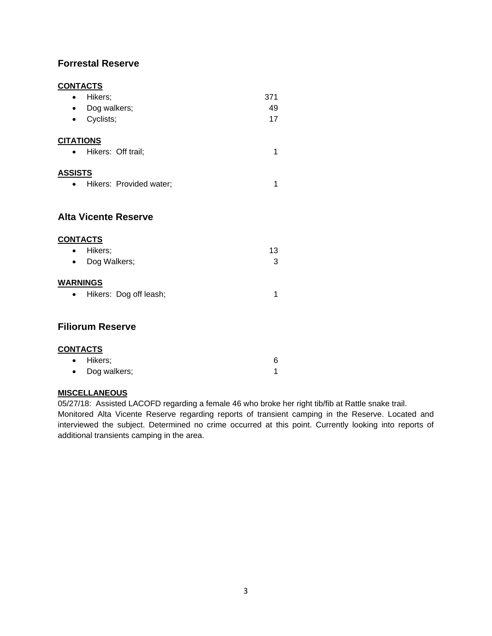### **Forrestal Reserve**

### **CONTACTS**

| <u>,,,,,,,,,</u>                     |     |
|--------------------------------------|-----|
| Hikers;<br>$\bullet$                 | 371 |
| Dog walkers;<br>٠                    | 49  |
| Cyclists;<br>٠                       | 17  |
| <b>CITATIONS</b>                     |     |
| Hikers: Off trail;<br>$\bullet$      | 1   |
| <b>ASSISTS</b>                       |     |
| Hikers: Provided water;<br>$\bullet$ | 1   |
|                                      |     |
| <b>Alta Vicente Reserve</b>          |     |
| <b>CONTACTS</b>                      |     |
| Hikers;                              | 13  |
| Dog Walkers;                         | 3   |
| <b>WARNINGS</b>                      |     |
| Hikers: Dog off leash;               | 1   |
|                                      |     |
| <b>Filiorum Reserve</b>              |     |
| <b>CONTACTS</b>                      |     |
| Hikers;<br>٠                         | 6   |
| Dog walkers;                         | 1   |

#### **MISCELLANEOUS**

05/27/18: Assisted LACOFD regarding a female 46 who broke her right tib/fib at Rattle snake trail.

Monitored Alta Vicente Reserve regarding reports of transient camping in the Reserve. Located and interviewed the subject. Determined no crime occurred at this point. Currently looking into reports of additional transients camping in the area.